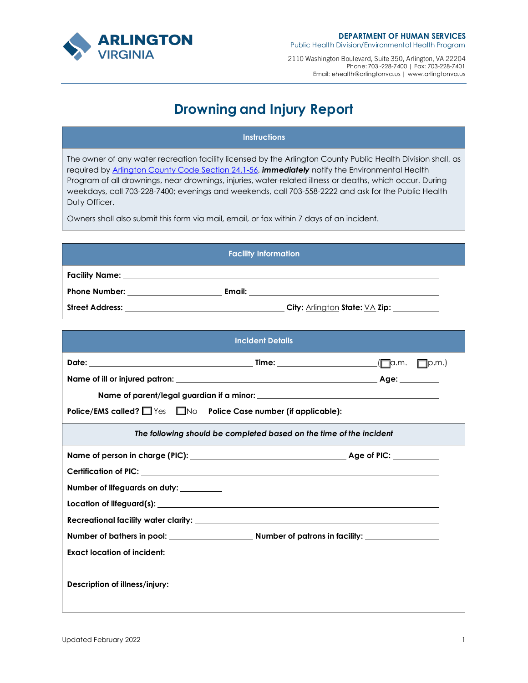

2110 Washington Boulevard, Suite 350, Arlington, VA 22204 Phone: 703 -228-7400 | Fax: 703-228-7401 Email: ehealth@arlingtonva.us | www.arlingtonva.us

## **Drowning and Injury Report**

## **Instructions**

The owner of any water recreation facility licensed by the Arlington County Public Health Division shall, as required by Arlington County Code Section 24.1-56, *immediately* notify the Environmental Health Program of all drownings, near drownings, injuries, water-related illness or deaths, which occur. During weekdays, call 703-228-7400; evenings and weekends, call 703-558-2222 and ask for the Public Health Duty Officer.

Owners shall also submit this form via mail, email, or fax within 7 days of an incident.

| <b>Facility Information</b> |                                       |  |  |
|-----------------------------|---------------------------------------|--|--|
|                             |                                       |  |  |
| <b>Phone Number:</b>        | Email:                                |  |  |
| <b>Street Address:</b>      | <b>City: Arlington State: VA Zip:</b> |  |  |

| <b>Incident Details</b>                                                          |  |  |  |  |
|----------------------------------------------------------------------------------|--|--|--|--|
|                                                                                  |  |  |  |  |
|                                                                                  |  |  |  |  |
|                                                                                  |  |  |  |  |
| Police/EMS called? Ves Mo Police Case number (if applicable): __________________ |  |  |  |  |
| The following should be completed based on the time of the incident              |  |  |  |  |
|                                                                                  |  |  |  |  |
|                                                                                  |  |  |  |  |
| Number of lifeguards on duty: ________                                           |  |  |  |  |
|                                                                                  |  |  |  |  |
|                                                                                  |  |  |  |  |
|                                                                                  |  |  |  |  |
| <b>Exact location of incident:</b>                                               |  |  |  |  |
| Description of illness/injury:                                                   |  |  |  |  |